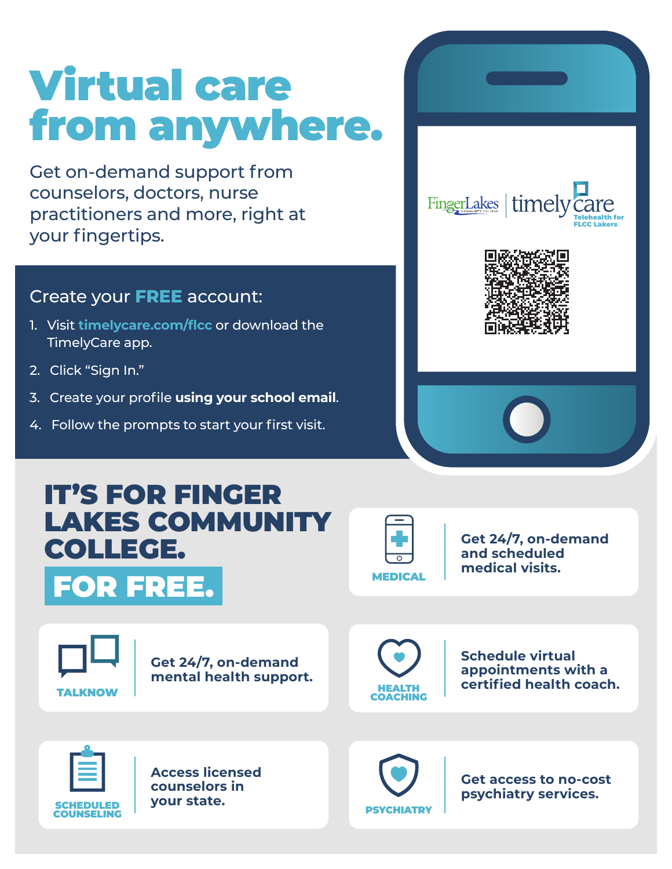# Virtual care from anywhere.

Get on-demand support from counselors, doctors, nurse practitioners and more, right at your fingertips.

## Create your **FREE** account:

- 1. Visit **timelycare.com/flcc** or download the TimelyCare app.
- 2. Click "Sign In."
- 3. Create your profile **using your school email**.
- 4. Follow the prompts to start your first visit.









**Get 24/7, on-demand and scheduled medical visits.**

**TALKNOW** 

**Get 24/7, on-demand mental health support.**



**Schedule virtual appointments with a certified health coach.**



**Access licensed counselors in your state.**



**Get access to no-cost psychiatry services.**